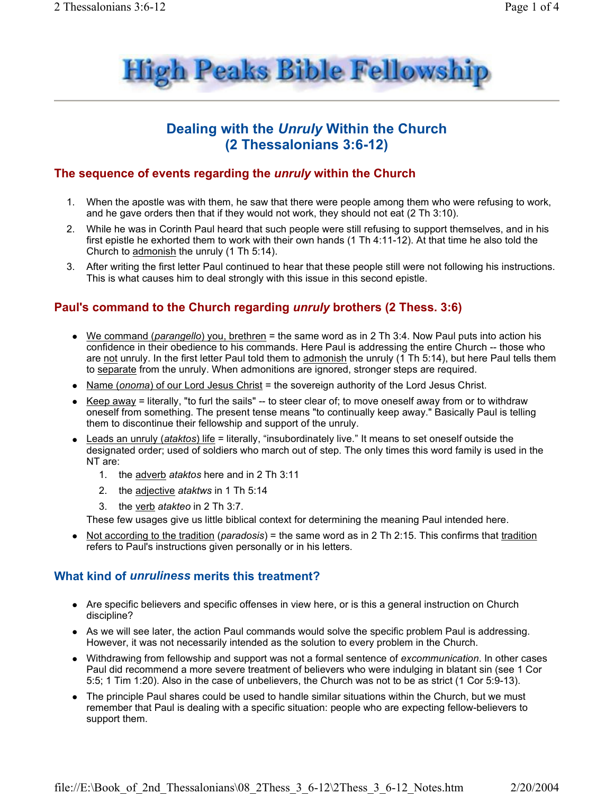

# Dealing with the Unruly Within the Church (2 Thessalonians 3:6-12)

### The sequence of events regarding the *unruly* within the Church

- 1. When the apostle was with them, he saw that there were people among them who were refusing to work, and he gave orders then that if they would not work, they should not eat (2 Th 3:10).
- 2. While he was in Corinth Paul heard that such people were still refusing to support themselves, and in his first epistle he exhorted them to work with their own hands (1 Th 4:11-12). At that time he also told the Church to admonish the unruly (1 Th 5:14).
- 3. After writing the first letter Paul continued to hear that these people still were not following his instructions. This is what causes him to deal strongly with this issue in this second epistle.

# Paul's command to the Church regarding *unruly* brothers (2 Thess. 3:6)

- We command (parangello) you, brethren = the same word as in 2 Th 3:4. Now Paul puts into action his confidence in their obedience to his commands. Here Paul is addressing the entire Church -- those who are not unruly. In the first letter Paul told them to admonish the unruly (1 Th 5:14), but here Paul tells them to separate from the unruly. When admonitions are ignored, stronger steps are required.
- Name (onoma) of our Lord Jesus Christ = the sovereign authority of the Lord Jesus Christ.
- Keep away = literally, "to furl the sails" -- to steer clear of; to move oneself away from or to withdraw oneself from something. The present tense means "to continually keep away." Basically Paul is telling them to discontinue their fellowship and support of the unruly.
- Leads an unruly (ataktos) life = literally, "insubordinately live." It means to set oneself outside the designated order; used of soldiers who march out of step. The only times this word family is used in the NT are:
	- 1. the adverb ataktos here and in 2 Th 3:11
	- 2. the adjective ataktws in 1 Th 5:14
	- 3. the verb atakteo in 2 Th 3:7.

These few usages give us little biblical context for determining the meaning Paul intended here.

• Not according to the tradition (paradosis) = the same word as in 2 Th 2:15. This confirms that tradition refers to Paul's instructions given personally or in his letters.

#### What kind of *unruliness* merits this treatment?

- Are specific believers and specific offenses in view here, or is this a general instruction on Church discipline?
- As we will see later, the action Paul commands would solve the specific problem Paul is addressing. However, it was not necessarily intended as the solution to every problem in the Church.
- Withdrawing from fellowship and support was not a formal sentence of excommunication. In other cases Paul did recommend a more severe treatment of believers who were indulging in blatant sin (see 1 Cor 5:5; 1 Tim 1:20). Also in the case of unbelievers, the Church was not to be as strict (1 Cor 5:9-13).
- The principle Paul shares could be used to handle similar situations within the Church, but we must remember that Paul is dealing with a specific situation: people who are expecting fellow-believers to support them.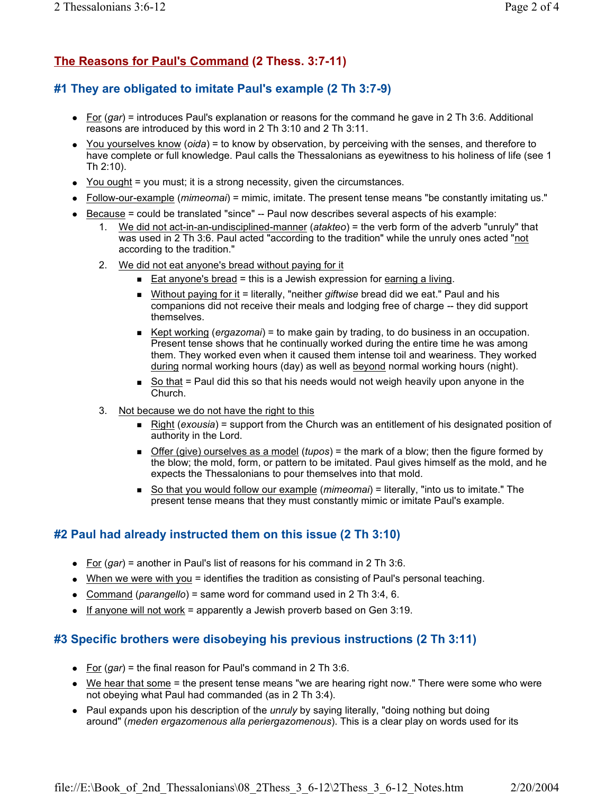# The Reasons for Paul's Command (2 Thess. 3:7-11)

## #1 They are obligated to imitate Paul's example (2 Th 3:7-9)

- For  $(gar)$  = introduces Paul's explanation or reasons for the command he gave in 2 Th 3:6. Additional reasons are introduced by this word in 2 Th 3:10 and 2 Th 3:11.
- You yourselves know (oida) = to know by observation, by perceiving with the senses, and therefore to have complete or full knowledge. Paul calls the Thessalonians as evewitness to his holiness of life (see 1) Th 2:10).
- You ought = you must; it is a strong necessity, given the circumstances.
- Follow-our-example (mimeomai) = mimic, imitate. The present tense means "be constantly imitating us."
- Because = could be translated "since" -- Paul now describes several aspects of his example:
	- We did not act-in-an-undisciplined-manner (atakteo) = the verb form of the adverb "unruly" that was used in 2 Th 3:6. Paul acted "according to the tradition" while the unruly ones acted "not according to the tradition."
	- 2. We did not eat anyone's bread without paying for it
		- Eat anyone's bread = this is a Jewish expression for earning a living.
		- Without paying for it = literally, "neither giftwise bread did we eat." Paul and his companions did not receive their meals and lodging free of charge -- they did support themselves.
		- Example Hept working (ergazomai) = to make gain by trading, to do business in an occupation. Present tense shows that he continually worked during the entire time he was among them. They worked even when it caused them intense toil and weariness. They worked during normal working hours (day) as well as beyond normal working hours (night).
		- So that = Paul did this so that his needs would not weigh heavily upon anyone in the  $\blacksquare$ Church.
	- 3. Not because we do not have the right to this
		- **Right (exousia)** = support from the Church was an entitlement of his designated position of authority in the Lord.
		- Offer (give) ourselves as a model (tupos) = the mark of a blow; then the figure formed by the blow; the mold, form, or pattern to be imitated. Paul gives himself as the mold, and he expects the Thessalonians to pour themselves into that mold.
		- So that you would follow our example (mimeomai) = literally, "into us to imitate." The present tense means that they must constantly mimic or imitate Paul's example.

### #2 Paul had already instructed them on this issue (2 Th 3:10)

- For  $(gar)$  = another in Paul's list of reasons for his command in 2 Th 3:6.
- When we were with you = identifies the tradition as consisting of Paul's personal teaching.
- Command (parangello) = same word for command used in 2 Th 3:4, 6.
- If anyone will not work = apparently a Jewish proverb based on Gen  $3:19$ .

# #3 Specific brothers were disobeying his previous instructions (2 Th 3:11)

- For  $(gar)$  = the final reason for Paul's command in 2 Th 3:6.
- We hear that some = the present tense means "we are hearing right now." There were some who were not obeying what Paul had commanded (as in 2 Th 3:4).
- Paul expands upon his description of the *unruly* by saying literally, "doing nothing but doing around" (meden ergazomenous alla periergazomenous). This is a clear play on words used for its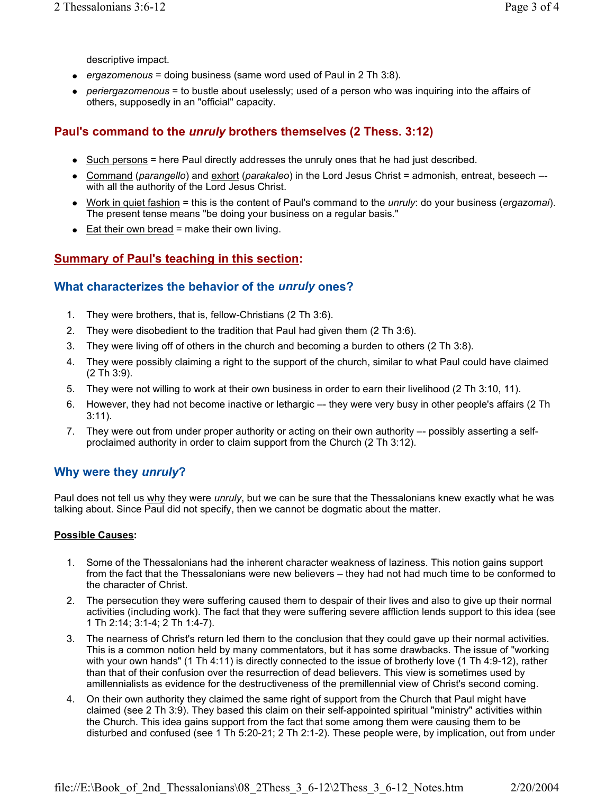descriptive impact.

- ergazomenous = doing business (same word used of Paul in 2 Th 3:8).
- periergazomenous = to bustle about uselessly; used of a person who was inquiring into the affairs of others, supposedly in an "official" capacity.

## Paul's command to the *unruly* brothers themselves (2 Thess. 3:12)

- Such persons = here Paul directly addresses the unruly ones that he had just described.
- Command (parangello) and exhort (parakaleo) in the Lord Jesus Christ = admonish, entreat, beseech with all the authority of the Lord Jesus Christ.
- Work in quiet fashion = this is the content of Paul's command to the *unruly*: do your business (*ergazomai*). The present tense means "be doing your business on a regular basis."
- $\bullet$  Eat their own bread = make their own living.

# **Summary of Paul's teaching in this section:**

#### What characterizes the behavior of the unruly ones?

- 1. They were brothers, that is, fellow-Christians (2 Th 3:6).
- 2. They were disobedient to the tradition that Paul had given them (2 Th 3:6).
- 3. They were living off of others in the church and becoming a burden to others (2 Th 3:8).
- 4. They were possibly claiming a right to the support of the church, similar to what Paul could have claimed  $(2 Th 3:9).$
- 5. They were not willing to work at their own business in order to earn their livelihood (2 Th 3:10, 11).
- 6. However, they had not become inactive or lethargic -- they were very busy in other people's affairs (2 Th  $3:11$ ).
- 7. They were out from under proper authority or acting on their own authority -- possibly asserting a selfproclaimed authority in order to claim support from the Church (2 Th 3:12).

### Why were they unruly?

Paul does not tell us why they were unruly, but we can be sure that the Thessalonians knew exactly what he was talking about. Since Paul did not specify, then we cannot be dogmatic about the matter.

#### **Possible Causes:**

- 1. Some of the Thessalonians had the inherent character weakness of laziness. This notion gains support from the fact that the Thessalonians were new believers - they had not had much time to be conformed to the character of Christ.
- 2. The persecution they were suffering caused them to despair of their lives and also to give up their normal activities (including work). The fact that they were suffering severe affliction lends support to this idea (see 1 Th 2:14; 3:1-4; 2 Th 1:4-7).
- 3. The nearness of Christ's return led them to the conclusion that they could gave up their normal activities. This is a common notion held by many commentators, but it has some drawbacks. The issue of "working with your own hands" (1 Th 4:11) is directly connected to the issue of brotherly love (1 Th 4:9-12), rather than that of their confusion over the resurrection of dead believers. This view is sometimes used by amillennialists as evidence for the destructiveness of the premillennial view of Christ's second coming.
- 4. On their own authority they claimed the same right of support from the Church that Paul might have claimed (see 2 Th 3:9). They based this claim on their self-appointed spiritual "ministry" activities within the Church. This idea gains support from the fact that some among them were causing them to be disturbed and confused (see 1 Th 5:20-21; 2 Th 2:1-2). These people were, by implication, out from under